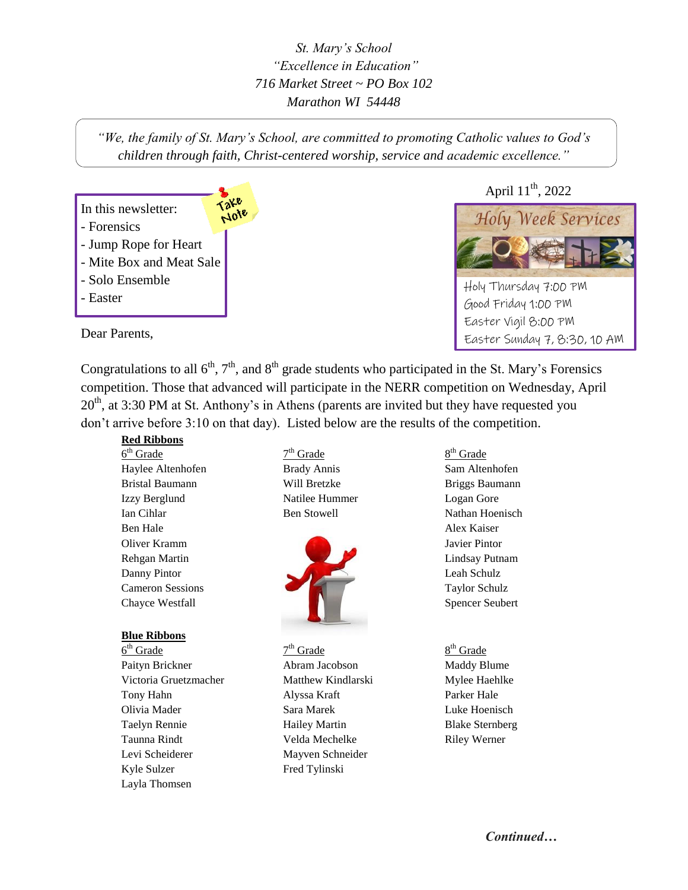*St. Mary's School "Excellence in Education" 716 Market Street ~ PO Box 102 Marathon WI 54448*

*"We, the family of St. Mary's School, are committed to promoting Catholic values to God's children through faith, Christ-centered worship, service and academic excellence."*

# In this newsletter: - Forensics

Note

- Jump Rope for Heart
- Mite Box and Meat Sale
- Solo Ensemble
- Easter

Dear Parents,

April 11<sup>th</sup>, 2022



Holy Thursday 7:00 PM Good Friday 1:00 PM Easter Vigil 8:00 PM Easter Sunday 7, 8:30, 10 AM

Congratulations to all  $6<sup>th</sup>$ ,  $7<sup>th</sup>$ , and  $8<sup>th</sup>$  grade students who participated in the St. Mary's Forensics competition. Those that advanced will participate in the NERR competition on Wednesday, April  $20<sup>th</sup>$ , at 3:30 PM at St. Anthony's in Athens (parents are invited but they have requested you don't arrive before 3:10 on that day). Listed below are the results of the competition.

### **Red Ribbons**

 $6<sup>th</sup>$  Grade 7 Haylee Altenhofen Brady Annis Sam Altenhofen Bristal Baumann **Will Bretzke** Briggs Baumann Izzy Berglund Natilee Hummer Logan Gore Ian Cihlar Ben Stowell Nathan Hoenisch Ben Hale Alex Kaiser

### **Blue Ribbons**

 $6<sup>th</sup> Grade$  7 Paityn Brickner **Abram Jacobson** Maddy Blume Victoria Gruetzmacher Matthew Kindlarski Mylee Haehlke Tony Hahn Alyssa Kraft Parker Hale Olivia Mader Sara Marek Luke Hoenisch Taelyn Rennie Hailey Martin Blake Sternberg Taunna Rindt Velda Mechelke Riley Werner Levi Scheiderer Mayven Schneider Kyle Sulzer Fred Tylinski Layla Thomsen

 $7<sup>th</sup>$  Grade



 $7<sup>th</sup>$  Grade

8<sup>th</sup> Grade

# $8<sup>th</sup>$  Grade